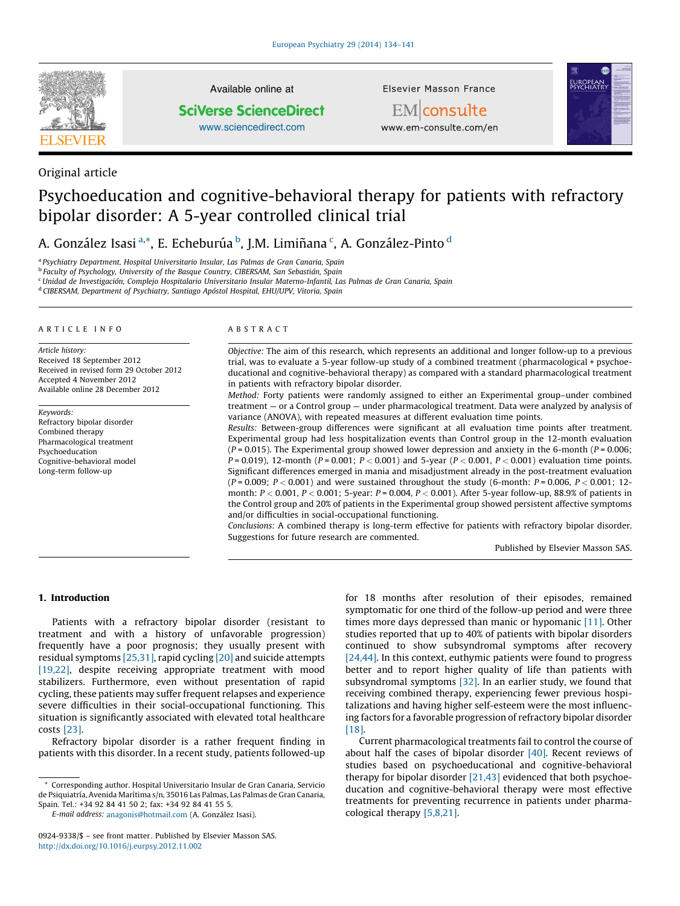

Original article

Available online at **SciVerse ScienceDirect** 

[www.sciencedirect.com](http://www.sciencedirect.com/science/journal/09249338)

Elsevier Masson France



EM consulte www.em-consulte.com/en

# Psychoeducation and cognitive-behavioral therapy for patients with refractory bipolar disorder: A 5-year controlled clinical trial

A. González Isasi <sup>a,\*</sup>, E. Echeburúa <sup>b</sup>, J.M. Limiñana <sup>c</sup>, A. González-Pinto <sup>d</sup>

<sup>a</sup> Psychiatry Department, Hospital Universitario Insular, Las Palmas de Gran Canaria, Spain

<sup>b</sup> Faculty of Psychology, University of the Basque Country, CIBERSAM, San Sebastián, Spain

<sup>c</sup>Unidad de Investigacio´n, Complejo Hospitalario Universitario Insular Materno-Infantil, Las Palmas de Gran Canaria, Spain

<sup>d</sup> CIBERSAM, Department of Psychiatry, Santiago Apóstol Hospital, EHU/UPV, Vitoria, Spain

# A R T I C L E I N F O

Article history: Received 18 September 2012 Received in revised form 29 October 2012 Accepted 4 November 2012 Available online 28 December 2012

Keywords: Refractory bipolar disorder Combined therapy Pharmacological treatment Psychoeducation Cognitive-behavioral model Long-term follow-up

#### A B S T R A C T

Objective: The aim of this research, which represents an additional and longer follow-up to a previous trial, was to evaluate a 5-year follow-up study of a combined treatment (pharmacological + psychoeducational and cognitive-behavioral therapy) as compared with a standard pharmacological treatment in patients with refractory bipolar disorder.

Method: Forty patients were randomly assigned to either an Experimental group–under combined treatment — or a Control group — under pharmacological treatment. Data were analyzed by analysis of variance (ANOVA), with repeated measures at different evaluation time points.

Results: Between-group differences were significant at all evaluation time points after treatment. Experimental group had less hospitalization events than Control group in the 12-month evaluation  $(P = 0.015)$ . The Experimental group showed lower depression and anxiety in the 6-month  $(P = 0.006)$ ;  $P = 0.019$ , 12-month ( $P = 0.001$ ;  $P < 0.001$ ) and 5-year ( $P < 0.001$ ,  $P < 0.001$ ) evaluation time points. Significant differences emerged in mania and misadjustment already in the post-treatment evaluation  $(P = 0.009; P < 0.001)$  and were sustained throughout the study (6-month:  $P = 0.006, P < 0.001; 12$ month:  $P < 0.001$ ,  $P < 0.001$ ; 5-year:  $P = 0.004$ ,  $P < 0.001$ ). After 5-year follow-up, 88.9% of patients in the Control group and 20% of patients in the Experimental group showed persistent affective symptoms and/or difficulties in social-occupational functioning.

Conclusions: A combined therapy is long-term effective for patients with refractory bipolar disorder. Suggestions for future research are commented.

Published by Elsevier Masson SAS.

## 1. Introduction

Patients with a refractory bipolar disorder (resistant to treatment and with a history of unfavorable progression) frequently have a poor prognosis; they usually present with residual symptoms [\[25,31\],](#page-6-0) rapid cycling [\[20\]](#page-6-0) and suicide attempts [\[19,22\],](#page-6-0) despite receiving appropriate treatment with mood stabilizers. Furthermore, even without presentation of rapid cycling, these patients may suffer frequent relapses and experience severe difficulties in their social-occupational functioning. This situation is significantly associated with elevated total healthcare costs [\[23\]](#page-6-0).

Refractory bipolar disorder is a rather frequent finding in patients with this disorder. In a recent study, patients followed-up

\* Corresponding author. Hospital Universitario Insular de Gran Canaria, Servicio de Psiquiatrı´a, Avenida Marı´tima s/n, 35016 Las Palmas, Las Palmas de Gran Canaria, Spain. Tel.: +34 92 84 41 50 2; fax: +34 92 84 41 55 5.

E-mail address: [anagonis@hotmail.com](mailto:anagonis@hotmail.com) (A. González Isasi).

for 18 months after resolution of their episodes, remained symptomatic for one third of the follow-up period and were three times more days depressed than manic or hypomanic [\[11\]](#page-6-0). Other studies reported that up to 40% of patients with bipolar disorders continued to show subsyndromal symptoms after recovery [\[24,44\].](#page-6-0) In this context, euthymic patients were found to progress better and to report higher quality of life than patients with subsyndromal symptoms [\[32\]](#page-6-0). In an earlier study, we found that receiving combined therapy, experiencing fewer previous hospitalizations and having higher self-esteem were the most influencing factors for a favorable progression of refractory bipolar disorder [\[18\]](#page-6-0).

Current pharmacological treatments fail to control the course of about half the cases of bipolar disorder  $[40]$ . Recent reviews of studies based on psychoeducational and cognitive-behavioral therapy for bipolar disorder [\[21,43\]](#page-6-0) evidenced that both psychoeducation and cognitive-behavioral therapy were most effective treatments for preventing recurrence in patients under pharmacological therapy [\[5,8,21\]](#page-6-0).

<sup>0924-9338/\$</sup> – see front matter . Published by Elsevier Masson SAS. <http://dx.doi.org/10.1016/j.eurpsy.2012.11.002>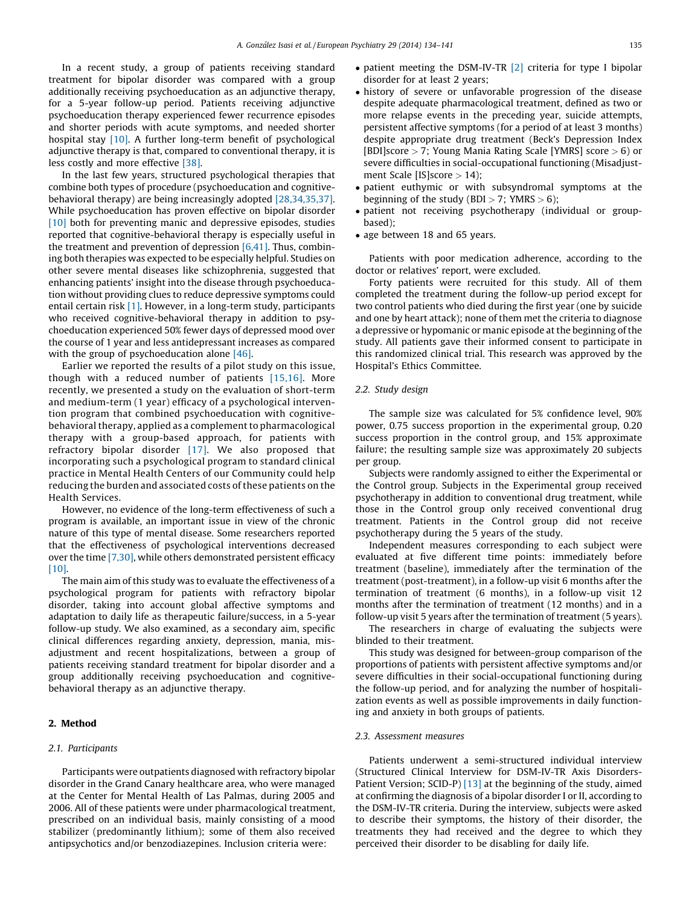In a recent study, a group of patients receiving standard treatment for bipolar disorder was compared with a group additionally receiving psychoeducation as an adjunctive therapy, for a 5-year follow-up period. Patients receiving adjunctive psychoeducation therapy experienced fewer recurrence episodes and shorter periods with acute symptoms, and needed shorter hospital stay [\[10\]](#page-6-0). A further long-term benefit of psychological adjunctive therapy is that, compared to conventional therapy, it is less costly and more effective [\[38\]](#page-6-0).

In the last few years, structured psychological therapies that combine both types of procedure (psychoeducation and cognitivebehavioral therapy) are being increasingly adopted [\[28,34,35,37\].](#page-6-0) While psychoeducation has proven effective on bipolar disorder [\[10\]](#page-6-0) both for preventing manic and depressive episodes, studies reported that cognitive-behavioral therapy is especially useful in the treatment and prevention of depression  $[6,41]$ . Thus, combining both therapies was expected to be especially helpful. Studies on other severe mental diseases like schizophrenia, suggested that enhancing patients' insight into the disease through psychoeducation without providing clues to reduce depressive symptoms could entail certain risk [\[1\].](#page-6-0) However, in a long-term study, participants who received cognitive-behavioral therapy in addition to psychoeducation experienced 50% fewer days of depressed mood over the course of 1 year and less antidepressant increases as compared with the group of psychoeducation alone [\[46\]](#page-7-0).

Earlier we reported the results of a pilot study on this issue, though with a reduced number of patients [\[15,16\]](#page-6-0). More recently, we presented a study on the evaluation of short-term and medium-term (1 year) efficacy of a psychological intervention program that combined psychoeducation with cognitivebehavioral therapy, applied as a complement to pharmacological therapy with a group-based approach, for patients with refractory bipolar disorder [\[17\]](#page-6-0). We also proposed that incorporating such a psychological program to standard clinical practice in Mental Health Centers of our Community could help reducing the burden and associated costs of these patients on the Health Services.

However, no evidence of the long-term effectiveness of such a program is available, an important issue in view of the chronic nature of this type of mental disease. Some researchers reported that the effectiveness of psychological interventions decreased over the time [\[7,30\],](#page-6-0) while others demonstrated persistent efficacy [\[10\]](#page-6-0).

The main aim of this study was to evaluate the effectiveness of a psychological program for patients with refractory bipolar disorder, taking into account global affective symptoms and adaptation to daily life as therapeutic failure/success, in a 5-year follow-up study. We also examined, as a secondary aim, specific clinical differences regarding anxiety, depression, mania, misadjustment and recent hospitalizations, between a group of patients receiving standard treatment for bipolar disorder and a group additionally receiving psychoeducation and cognitivebehavioral therapy as an adjunctive therapy.

# 2. Method

#### 2.1. Participants

Participants were outpatients diagnosed with refractory bipolar disorder in the Grand Canary healthcare area, who were managed at the Center for Mental Health of Las Palmas, during 2005 and 2006. All of these patients were under pharmacological treatment, prescribed on an individual basis, mainly consisting of a mood stabilizer (predominantly lithium); some of them also received antipsychotics and/or benzodiazepines. Inclusion criteria were:

- patient meeting the DSM-IV-TR [\[2\]](#page-6-0) criteria for type I bipolar disorder for at least 2 years;
- history of severe or unfavorable progression of the disease despite adequate pharmacological treatment, defined as two or more relapse events in the preceding year, suicide attempts, persistent affective symptoms (for a period of at least 3 months) despite appropriate drug treatment (Beck's Depression Index [BDI]score > 7; Young Mania Rating Scale [YMRS] score > 6) or severe difficulties in social-occupational functioning (Misadjustment Scale [IS]score > 14);
- patient euthymic or with subsyndromal symptoms at the beginning of the study (BDI  $>$  7; YMRS  $>$  6);
- patient not receiving psychotherapy (individual or groupbased);
- age between 18 and 65 years.

Patients with poor medication adherence, according to the doctor or relatives' report, were excluded.

Forty patients were recruited for this study. All of them completed the treatment during the follow-up period except for two control patients who died during the first year (one by suicide and one by heart attack); none of them met the criteria to diagnose a depressive or hypomanic or manic episode at the beginning of the study. All patients gave their informed consent to participate in this randomized clinical trial. This research was approved by the Hospital's Ethics Committee.

### 2.2. Study design

The sample size was calculated for 5% confidence level, 90% power, 0.75 success proportion in the experimental group, 0.20 success proportion in the control group, and 15% approximate failure; the resulting sample size was approximately 20 subjects per group.

Subjects were randomly assigned to either the Experimental or the Control group. Subjects in the Experimental group received psychotherapy in addition to conventional drug treatment, while those in the Control group only received conventional drug treatment. Patients in the Control group did not receive psychotherapy during the 5 years of the study.

Independent measures corresponding to each subject were evaluated at five different time points: immediately before treatment (baseline), immediately after the termination of the treatment (post-treatment), in a follow-up visit 6 months after the termination of treatment (6 months), in a follow-up visit 12 months after the termination of treatment (12 months) and in a follow-up visit 5 years after the termination of treatment (5 years).

The researchers in charge of evaluating the subjects were blinded to their treatment.

This study was designed for between-group comparison of the proportions of patients with persistent affective symptoms and/or severe difficulties in their social-occupational functioning during the follow-up period, and for analyzing the number of hospitalization events as well as possible improvements in daily functioning and anxiety in both groups of patients.

#### 2.3. Assessment measures

Patients underwent a semi-structured individual interview (Structured Clinical Interview for DSM-IV-TR Axis Disorders-Patient Version; SCID-P) [\[13\]](#page-6-0) at the beginning of the study, aimed at confirming the diagnosis of a bipolar disorder I or II, according to the DSM-IV-TR criteria. During the interview, subjects were asked to describe their symptoms, the history of their disorder, the treatments they had received and the degree to which they perceived their disorder to be disabling for daily life.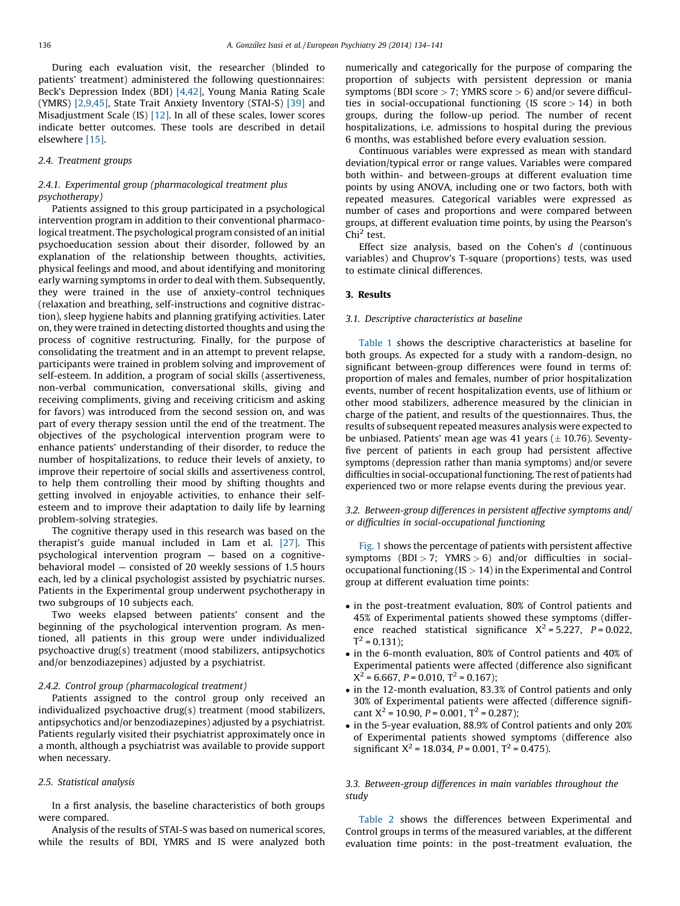During each evaluation visit, the researcher (blinded to patients' treatment) administered the following questionnaires: Beck's Depression Index (BDI) [\[4,42\],](#page-6-0) Young Mania Rating Scale (YMRS) [\[2,9,45\],](#page-6-0) State Trait Anxiety Inventory (STAI-S) [\[39\]](#page-6-0) and Misadjustment Scale (IS) [\[12\].](#page-6-0) In all of these scales, lower scores indicate better outcomes. These tools are described in detail elsewhere [\[15\]](#page-6-0).

# 2.4. Treatment groups

# 2.4.1. Experimental group (pharmacological treatment plus psychotherapy)

Patients assigned to this group participated in a psychological intervention program in addition to their conventional pharmacological treatment. The psychological program consisted of an initial psychoeducation session about their disorder, followed by an explanation of the relationship between thoughts, activities, physical feelings and mood, and about identifying and monitoring early warning symptoms in order to deal with them. Subsequently, they were trained in the use of anxiety-control techniques (relaxation and breathing, self-instructions and cognitive distraction), sleep hygiene habits and planning gratifying activities. Later on, they were trained in detecting distorted thoughts and using the process of cognitive restructuring. Finally, for the purpose of consolidating the treatment and in an attempt to prevent relapse, participants were trained in problem solving and improvement of self-esteem. In addition, a program of social skills (assertiveness, non-verbal communication, conversational skills, giving and receiving compliments, giving and receiving criticism and asking for favors) was introduced from the second session on, and was part of every therapy session until the end of the treatment. The objectives of the psychological intervention program were to enhance patients' understanding of their disorder, to reduce the number of hospitalizations, to reduce their levels of anxiety, to improve their repertoire of social skills and assertiveness control, to help them controlling their mood by shifting thoughts and getting involved in enjoyable activities, to enhance their selfesteem and to improve their adaptation to daily life by learning problem-solving strategies.

The cognitive therapy used in this research was based on the therapist's guide manual included in Lam et al. [\[27\].](#page-6-0) This psychological intervention program — based on a cognitivebehavioral model — consisted of 20 weekly sessions of 1.5 hours each, led by a clinical psychologist assisted by psychiatric nurses. Patients in the Experimental group underwent psychotherapy in two subgroups of 10 subjects each.

Two weeks elapsed between patients' consent and the beginning of the psychological intervention program. As mentioned, all patients in this group were under individualized psychoactive drug(s) treatment (mood stabilizers, antipsychotics and/or benzodiazepines) adjusted by a psychiatrist.

### 2.4.2. Control group (pharmacological treatment)

Patients assigned to the control group only received an individualized psychoactive drug(s) treatment (mood stabilizers, antipsychotics and/or benzodiazepines) adjusted by a psychiatrist. Patients regularly visited their psychiatrist approximately once in a month, although a psychiatrist was available to provide support when necessary.

# 2.5. Statistical analysis

In a first analysis, the baseline characteristics of both groups were compared.

Analysis of the results of STAI-S was based on numerical scores, while the results of BDI, YMRS and IS were analyzed both numerically and categorically for the purpose of comparing the proportion of subjects with persistent depression or mania symptoms (BDI score  $>$  7; YMRS score  $>$  6) and/or severe difficulties in social-occupational functioning (IS score  $> 14$ ) in both groups, during the follow-up period. The number of recent hospitalizations, i.e. admissions to hospital during the previous 6 months, was established before every evaluation session.

Continuous variables were expressed as mean with standard deviation/typical error or range values. Variables were compared both within- and between-groups at different evaluation time points by using ANOVA, including one or two factors, both with repeated measures. Categorical variables were expressed as number of cases and proportions and were compared between groups, at different evaluation time points, by using the Pearson's Chi<sup>2</sup> test.

Effect size analysis, based on the Cohen's d (continuous variables) and Chuprov's T-square (proportions) tests, was used to estimate clinical differences.

# 3. Results

#### 3.1. Descriptive characteristics at baseline

[Table](#page-3-0) 1 shows the descriptive characteristics at baseline for both groups. As expected for a study with a random-design, no significant between-group differences were found in terms of: proportion of males and females, number of prior hospitalization events, number of recent hospitalization events, use of lithium or other mood stabilizers, adherence measured by the clinician in charge of the patient, and results of the questionnaires. Thus, the results of subsequent repeated measures analysis were expected to be unbiased. Patients' mean age was 41 years ( $\pm$  10.76). Seventyfive percent of patients in each group had persistent affective symptoms (depression rather than mania symptoms) and/or severe difficulties in social-occupational functioning. The rest of patients had experienced two or more relapse events during the previous year.

3.2. Between-group differences in persistent affective symptoms and/ or difficulties in social-occupational functioning

[Fig.](#page-3-0) 1 shows the percentage of patients with persistent affective symptoms  $(BDI > 7$ ; YMRS  $> 6$ ) and/or difficulties in socialoccupational functioning  $(IS > 14)$  in the Experimental and Control group at different evaluation time points:

- in the post-treatment evaluation, 80% of Control patients and 45% of Experimental patients showed these symptoms (difference reached statistical significance  $X^2 = 5.227$ ,  $P = 0.022$ ,  $T^2 = 0.131$ ;
- in the 6-month evaluation, 80% of Control patients and 40% of Experimental patients were affected (difference also significant  $X^2 = 6.667$ ,  $P = 0.010$ ,  $T^2 = 0.167$ ;
- in the 12-month evaluation, 83.3% of Control patients and only 30% of Experimental patients were affected (difference significant  $X^2$  = 10.90, *P* = 0.001,  $T^2$  = 0.287);
- in the 5-year evaluation, 88.9% of Control patients and only 20% of Experimental patients showed symptoms (difference also significant  $X^2$  = 18.034, P = 0.001, T<sup>2</sup> = 0.475).

# 3.3. Between-group differences in main variables throughout the study

[Table](#page-4-0) 2 shows the differences between Experimental and Control groups in terms of the measured variables, at the different evaluation time points: in the post-treatment evaluation, the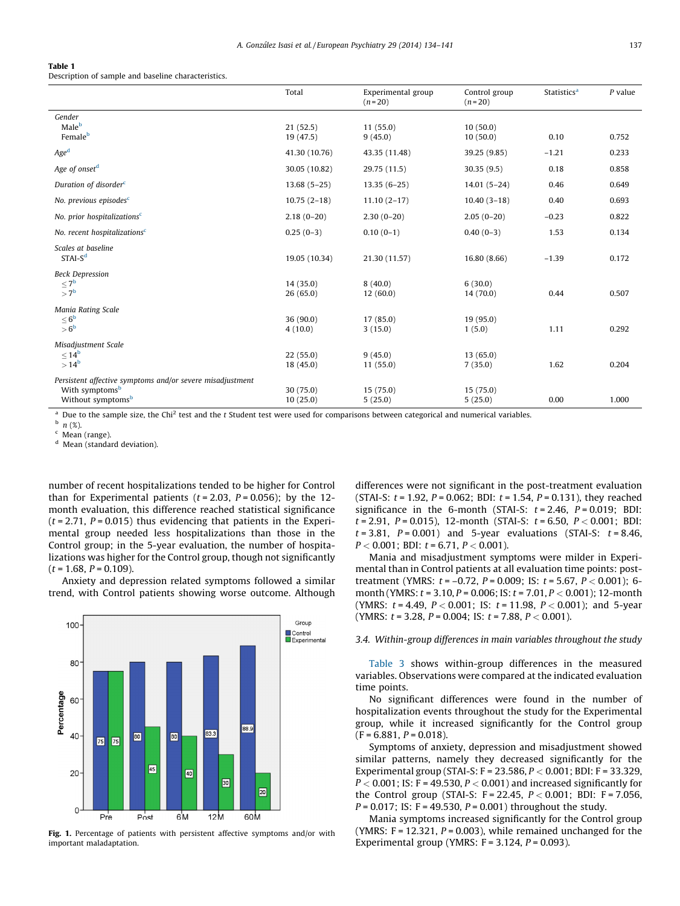#### <span id="page-3-0"></span>Table 1

Description of sample and baseline characteristics.

|                                                                                                                          | Total                 | Experimental group<br>$(n=20)$ | Control group<br>$(n=20)$ | <b>Statistics<sup>a</sup></b> | $P$ value |
|--------------------------------------------------------------------------------------------------------------------------|-----------------------|--------------------------------|---------------------------|-------------------------------|-----------|
| Gender<br>Male <sup>b</sup><br>Femaleb                                                                                   | 21(52.5)<br>19 (47.5) | 11(55.0)<br>9(45.0)            | 10(50.0)<br>10(50.0)      | 0.10                          | 0.752     |
| Age <sup>d</sup>                                                                                                         | 41.30 (10.76)         | 43.35 (11.48)                  | 39.25 (9.85)              | $-1.21$                       | 0.233     |
| Age of onset <sup>d</sup>                                                                                                | 30.05 (10.82)         | 29.75 (11.5)                   | 30.35 (9.5)               | 0.18                          | 0.858     |
| Duration of disorder <sup>c</sup>                                                                                        | $13.68(5-25)$         | $13.35(6-25)$                  | $14.01(5-24)$             | 0.46                          | 0.649     |
| No. previous episodes $c$                                                                                                | $10.75(2-18)$         | $11.10(2-17)$                  | $10.40(3-18)$             | 0.40                          | 0.693     |
| No. prior hospitalizations $\epsilon$                                                                                    | $2.18(0-20)$          | $2.30(0-20)$                   | $2.05(0-20)$              | $-0.23$                       | 0.822     |
| No. recent hospitalizations <sup>c</sup>                                                                                 | $0.25(0-3)$           | $0.10(0-1)$                    | $0.40(0-3)$               | 1.53                          | 0.134     |
| Scales at baseline<br>$STAI-Sd$                                                                                          | 19.05 (10.34)         | 21.30 (11.57)                  | 16.80 (8.66)              | $-1.39$                       | 0.172     |
| <b>Beck Depression</b><br>$\leq 7^b$<br>$>7^b$                                                                           | 14(35.0)<br>26(65.0)  | 8(40.0)<br>12(60.0)            | 6(30.0)<br>14(70.0)       | 0.44                          | 0.507     |
| <b>Mania Rating Scale</b><br>$\leq$ $6^{\rm b}$<br>$> 6^b$                                                               | 36(90.0)<br>4(10.0)   | 17(85.0)<br>3(15.0)            | 19(95.0)<br>1(5.0)        | 1.11                          | 0.292     |
| Misadjustment Scale<br>< 14 <sup>b</sup><br>$>14^{\rm b}$                                                                | 22(55.0)<br>18(45.0)  | 9(45.0)<br>11(55.0)            | 13(65.0)<br>7(35.0)       | 1.62                          | 0.204     |
| Persistent affective symptoms and/or severe misadjustment<br>With symptoms <sup>b</sup><br>Without symptoms <sup>b</sup> | 30(75.0)<br>10(25.0)  | 15(75.0)<br>5(25.0)            | 15(75.0)<br>5(25.0)       | 0.00                          | 1.000     |

<sup>a</sup> Due to the sample size, the Chi<sup>2</sup> test and the t Student test were used for comparisons between categorical and numerical variables.

<sup>b</sup> n (%).

Mean (range).

<sup>d</sup> Mean (standard deviation).

number of recent hospitalizations tended to be higher for Control than for Experimental patients ( $t = 2.03$ ,  $P = 0.056$ ); by the 12month evaluation, this difference reached statistical significance  $(t = 2.71, P = 0.015)$  thus evidencing that patients in the Experimental group needed less hospitalizations than those in the Control group; in the 5-year evaluation, the number of hospitalizations was higher for the Control group, though not significantly  $(t = 1.68, P = 0.109)$ .

Anxiety and depression related symptoms followed a similar trend, with Control patients showing worse outcome. Although



Fig. 1. Percentage of patients with persistent affective symptoms and/or with important maladaptation.

differences were not significant in the post-treatment evaluation (STAI-S:  $t = 1.92$ ,  $P = 0.062$ ; BDI:  $t = 1.54$ ,  $P = 0.131$ ), they reached significance in the 6-month (STAI-S:  $t = 2.46$ ,  $P = 0.019$ ; BDI:  $t = 2.91$ ,  $P = 0.015$ ), 12-month (STAI-S:  $t = 6.50$ ,  $P < 0.001$ ; BDI:  $t = 3.81$ ,  $P = 0.001$ ) and 5-year evaluations (STAI-S:  $t = 8.46$ ,  $P < 0.001$ ; BDI:  $t = 6.71$ ,  $P < 0.001$ ).

Mania and misadjustment symptoms were milder in Experimental than in Control patients at all evaluation time points: posttreatment (YMRS:  $t = -0.72$ ,  $P = 0.009$ ; IS:  $t = 5.67$ ,  $P < 0.001$ ); 6month (YMRS:  $t = 3.10$ ,  $P = 0.006$ ; IS:  $t = 7.01$ ,  $P < 0.001$ ); 12-month (YMRS:  $t = 4.49$ ,  $P < 0.001$ ; IS:  $t = 11.98$ ,  $P < 0.001$ ); and 5-year (YMRS:  $t = 3.28$ ,  $P = 0.004$ ; IS:  $t = 7.88$ ,  $P < 0.001$ ).

3.4. Within-group differences in main variables throughout the study

[Table](#page-5-0) 3 shows within-group differences in the measured variables. Observations were compared at the indicated evaluation time points.

No significant differences were found in the number of hospitalization events throughout the study for the Experimental group, while it increased significantly for the Control group  $(F = 6.881, P = 0.018)$ .

Symptoms of anxiety, depression and misadjustment showed similar patterns, namely they decreased significantly for the Experimental group (STAI-S:  $F = 23.586$ ,  $P < 0.001$ ; BDI:  $F = 33.329$ ,  $P < 0.001$ ; IS: F = 49.530,  $P < 0.001$ ) and increased significantly for the Control group (STAI-S:  $F = 22.45$ ,  $P < 0.001$ ; BDI:  $F = 7.056$ ,  $P = 0.017$ ; IS: F = 49.530, P = 0.001) throughout the study.

Mania symptoms increased significantly for the Control group (YMRS:  $F = 12.321$ ,  $P = 0.003$ ), while remained unchanged for the Experimental group (YMRS:  $F = 3.124$ ,  $P = 0.093$ ).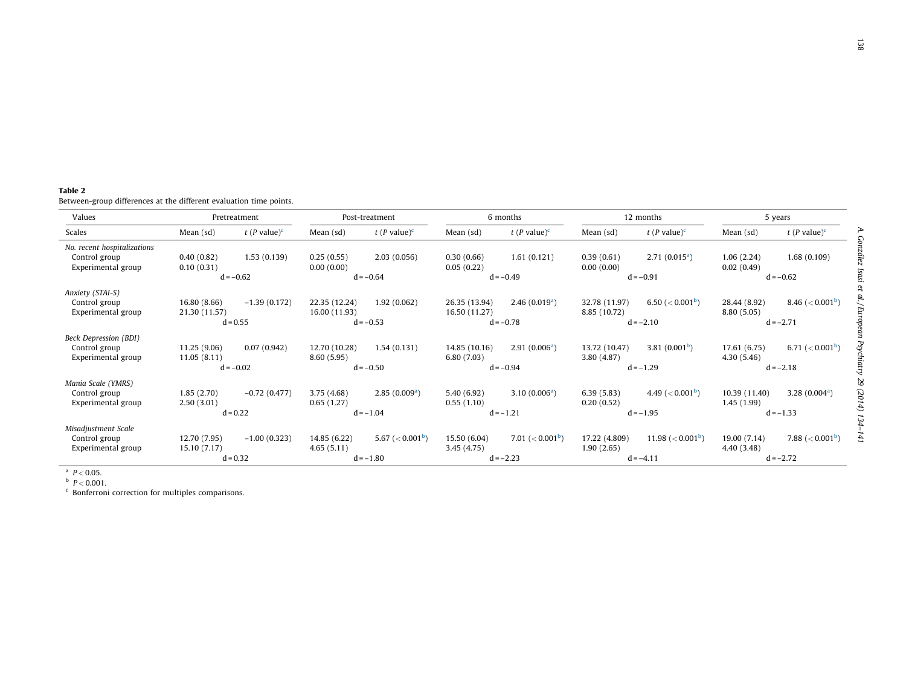<span id="page-4-0"></span>Between-group differences at the different evaluation time points.

| Values                       | Pretreatment               |                                        | Post-treatment |                                 | 6 months      |                           | 12 months     |                                 | 5 years       |                                 |
|------------------------------|----------------------------|----------------------------------------|----------------|---------------------------------|---------------|---------------------------|---------------|---------------------------------|---------------|---------------------------------|
| Scales                       | Mean (sd)                  | $t(P$ value) <sup><math>c</math></sup> | Mean (sd)      | t (P value) <sup>c</sup>        | Mean (sd)     | t (P value) <sup>c</sup>  | Mean (sd)     | t (P value) $\epsilon$          | Mean (sd)     | t (P value) $\epsilon$          |
| No. recent hospitalizations  |                            |                                        |                |                                 |               |                           |               |                                 |               |                                 |
| Control group                | 0.40(0.82)                 | 1.53(0.139)                            | 0.25(0.55)     | 2.03(0.056)                     | 0.30(0.66)    | 1.61(0.121)               | 0.39(0.61)    | $2.71(0.015^a)$                 | 1.06(2.24)    | 1.68(0.109)                     |
| Experimental group           | 0.10(0.31)                 |                                        | 0.00(0.00)     |                                 | 0.05(0.22)    |                           | 0.00(0.00)    |                                 | 0.02(0.49)    |                                 |
|                              |                            | $d = -0.62$                            | $d = -0.64$    |                                 | $d = -0.49$   |                           | $d = -0.91$   |                                 | $d = -0.62$   |                                 |
| Anxiety (STAI-S)             |                            |                                        |                |                                 |               |                           |               |                                 |               |                                 |
| Control group                | 16.80(8.66)                | $-1.39(0.172)$                         | 22.35 (12.24)  | 1.92(0.062)                     | 26.35 (13.94) | 2.46(0.019 <sup>a</sup> ) | 32.78 (11.97) | 6.50 ( $<$ 0.001 <sup>b</sup> ) | 28.44 (8.92)  | 8.46 ( $< 0.001b$ )             |
| Experimental group           | 21.30 (11.57)              |                                        | 16.00 (11.93)  |                                 | 16.50 (11.27) |                           | 8.85 (10.72)  |                                 | 8.80(5.05)    |                                 |
|                              |                            | $d = 0.55$                             |                | $d = -0.53$                     | $d = -0.78$   |                           | $d = -2.10$   |                                 | $d = -2.71$   |                                 |
| <b>Beck Depression (BDI)</b> |                            |                                        |                |                                 |               |                           |               |                                 |               |                                 |
| Control group                | 11.25 (9.06)               | 0.07(0.942)                            | 12.70 (10.28)  | 1.54(0.131)                     | 14.85 (10.16) | $2.91(0.006^a)$           | 13.72 (10.47) | 3.81 $(0.001b)$                 | 17.61 (6.75)  | 6.71 ( $<$ 0.001 <sup>b</sup> ) |
| Experimental group           | 11.05(8.11)                |                                        | 8.60(5.95)     |                                 | 6.80(7.03)    |                           | 3.80(4.87)    |                                 | 4.30(5.46)    |                                 |
|                              | $d = -0.02$<br>$d = -0.50$ |                                        |                | $d = -0.94$                     |               | $d = -1.29$               |               | $d = -2.18$                     |               |                                 |
| Mania Scale (YMRS)           |                            |                                        |                |                                 |               |                           |               |                                 |               |                                 |
| Control group                | 1.85(2.70)                 | $-0.72(0.477)$                         | 3.75(4.68)     | 2.85(0.009 <sup>a</sup> )       | 5.40(6.92)    | $3.10(0.006^a)$           | 6.39(5.83)    | 4.49 ( $< 0.001^{\circ}$ )      | 10.39 (11.40) | $3.28(0.004^a)$                 |
| Experimental group           | 2.50(3.01)                 |                                        | 0.65(1.27)     |                                 | 0.55(1.10)    |                           | 0.20(0.52)    |                                 | 1.45(1.99)    |                                 |
|                              |                            | $d = 0.22$                             | $d = -1.04$    |                                 | $d = -1.21$   |                           | $d = -1.95$   |                                 | $d = -1.33$   |                                 |
| Misadjustment Scale          |                            |                                        |                |                                 |               |                           |               |                                 |               |                                 |
| Control group                | 12.70 (7.95)               | $-1.00(0.323)$                         | 14.85 (6.22)   | 5.67 ( $<$ 0.001 <sup>b</sup> ) | 15.50 (6.04)  | 7.01 ( $< 0.001b$ )       | 17.22 (4.809) | 11.98 ( $< 0.001b$ )            | 19.00 (7.14)  | 7.88 ( $<$ 0.001 <sup>b</sup> ) |
| Experimental group           | 15.10 (7.17)               |                                        | 4.65(5.11)     |                                 | 3.45(4.75)    |                           | 1.90(2.65)    |                                 | 4.40(3.48)    |                                 |
|                              |                            | $d = 0.32$                             |                | $d = -1.80$                     |               | $d = -2.23$               |               | $d = -4.11$                     |               | $d = -2.72$                     |

 $P < 0.05$ .

 $b$   $P < 0.001$ .

c Bonferroni correction for multiples comparisons.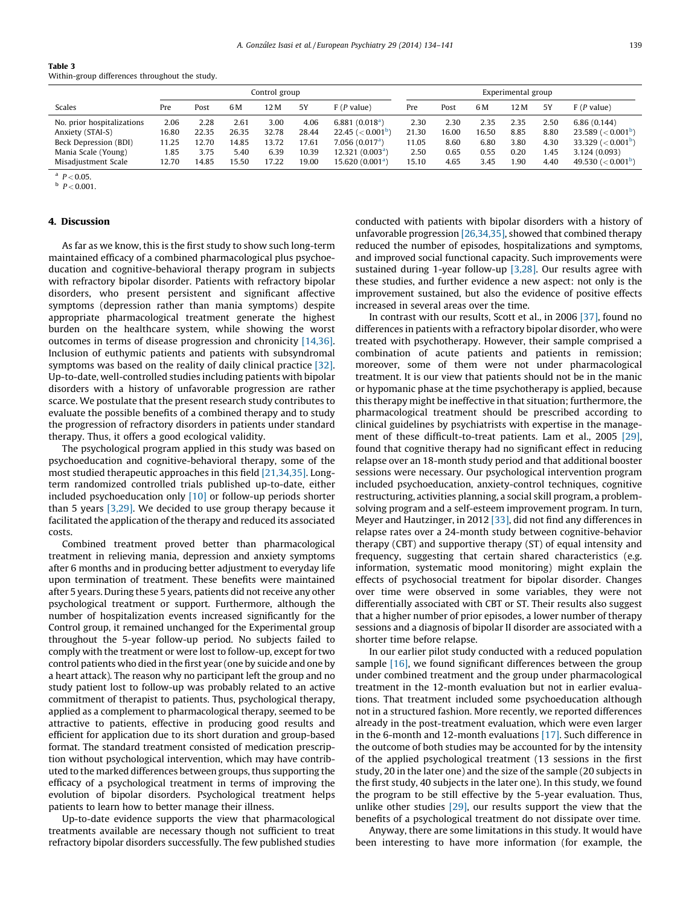<span id="page-5-0"></span>

| Table 3                                        |  |  |
|------------------------------------------------|--|--|
| Within-group differences throughout the study. |  |  |

|                                                                                                                       | Control group                           |                                        |                                         |                                         |                                          | Experimental group                                                                                                                             |                                         |                                       |                                       |                                     |                                      |                                                                                                                                   |
|-----------------------------------------------------------------------------------------------------------------------|-----------------------------------------|----------------------------------------|-----------------------------------------|-----------------------------------------|------------------------------------------|------------------------------------------------------------------------------------------------------------------------------------------------|-----------------------------------------|---------------------------------------|---------------------------------------|-------------------------------------|--------------------------------------|-----------------------------------------------------------------------------------------------------------------------------------|
| Scales                                                                                                                | Pre                                     | Post                                   | 6 M                                     | 12 M                                    | 5Y                                       | F(P value)                                                                                                                                     | Pre                                     | Post                                  | 6 M                                   | 12 M                                | 5Y                                   | F(P value)                                                                                                                        |
| No. prior hospitalizations<br>Anxiety (STAI-S)<br>Beck Depression (BDI)<br>Mania Scale (Young)<br>Misadjustment Scale | 2.06<br>16.80<br>11.25<br>1.85<br>12.70 | 2.28<br>22.35<br>2.70<br>3.75<br>14.85 | 2.61<br>26.35<br>14.85<br>5.40<br>15.50 | 3.00<br>32.78<br>13.72<br>6.39<br>17.22 | 4.06<br>28.44<br>17.61<br>10.39<br>19.00 | 6.881(0.018 <sup>a</sup> )<br>22.45 ( $< 0.001b$ )<br>7.056(0.017 <sup>a</sup> )<br>12.321(0.003 <sup>a</sup> )<br>15.620(0.001 <sup>a</sup> ) | 2.30<br>21.30<br>11.05<br>2.50<br>15.10 | 2.30<br>16.00<br>8.60<br>0.65<br>4.65 | 2.35<br>16.50<br>6.80<br>0.55<br>3.45 | 2.35<br>8.85<br>3.80<br>0.20<br>.90 | 2.50<br>8.80<br>4.30<br>. 45<br>4.40 | 6.86(0.144)<br>23.589 ( $< 0.001^{\circ}$ )<br>33.329 ( $< 0.001^{\circ}$ )<br>3.124 (0.093)<br>49.530 ( $<$ 0.001 <sup>b</sup> ) |

 $P < 0.05$  $P < 0.001$ .

# 4. Discussion

As far as we know, this is the first study to show such long-term maintained efficacy of a combined pharmacological plus psychoeducation and cognitive-behavioral therapy program in subjects with refractory bipolar disorder. Patients with refractory bipolar disorders, who present persistent and significant affective symptoms (depression rather than mania symptoms) despite appropriate pharmacological treatment generate the highest burden on the healthcare system, while showing the worst outcomes in terms of disease progression and chronicity [\[14,36\].](#page-6-0) Inclusion of euthymic patients and patients with subsyndromal symptoms was based on the reality of daily clinical practice [\[32\].](#page-6-0) Up-to-date, well-controlled studies including patients with bipolar disorders with a history of unfavorable progression are rather scarce. We postulate that the present research study contributes to evaluate the possible benefits of a combined therapy and to study the progression of refractory disorders in patients under standard therapy. Thus, it offers a good ecological validity.

The psychological program applied in this study was based on psychoeducation and cognitive-behavioral therapy, some of the most studied therapeutic approaches in this field [\[21,34,35\]](#page-6-0). Longterm randomized controlled trials published up-to-date, either included psychoeducation only [\[10\]](#page-6-0) or follow-up periods shorter than 5 years [\[3,29\]](#page-6-0). We decided to use group therapy because it facilitated the application of the therapy and reduced its associated costs.

Combined treatment proved better than pharmacological treatment in relieving mania, depression and anxiety symptoms after 6 months and in producing better adjustment to everyday life upon termination of treatment. These benefits were maintained after 5 years. During these 5 years, patients did not receive any other psychological treatment or support. Furthermore, although the number of hospitalization events increased significantly for the Control group, it remained unchanged for the Experimental group throughout the 5-year follow-up period. No subjects failed to comply with the treatment or were lost to follow-up, except for two control patients who died in the first year (one by suicide and one by a heart attack). The reason why no participant left the group and no study patient lost to follow-up was probably related to an active commitment of therapist to patients. Thus, psychological therapy, applied as a complement to pharmacological therapy, seemed to be attractive to patients, effective in producing good results and efficient for application due to its short duration and group-based format. The standard treatment consisted of medication prescription without psychological intervention, which may have contributed to the marked differences between groups, thus supporting the efficacy of a psychological treatment in terms of improving the evolution of bipolar disorders. Psychological treatment helps patients to learn how to better manage their illness.

Up-to-date evidence supports the view that pharmacological treatments available are necessary though not sufficient to treat refractory bipolar disorders successfully. The few published studies conducted with patients with bipolar disorders with a history of unfavorable progression [\[26,34,35\]](#page-6-0), showed that combined therapy reduced the number of episodes, hospitalizations and symptoms, and improved social functional capacity. Such improvements were sustained during 1-year follow-up [\[3,28\].](#page-6-0) Our results agree with these studies, and further evidence a new aspect: not only is the improvement sustained, but also the evidence of positive effects increased in several areas over the time.

In contrast with our results, Scott et al., in 2006 [\[37\],](#page-6-0) found no differences in patients with a refractory bipolar disorder, who were treated with psychotherapy. However, their sample comprised a combination of acute patients and patients in remission; moreover, some of them were not under pharmacological treatment. It is our view that patients should not be in the manic or hypomanic phase at the time psychotherapy is applied, because this therapy might be ineffective in that situation; furthermore, the pharmacological treatment should be prescribed according to clinical guidelines by psychiatrists with expertise in the management of these difficult-to-treat patients. Lam et al., 2005 [\[29\],](#page-6-0) found that cognitive therapy had no significant effect in reducing relapse over an 18-month study period and that additional booster sessions were necessary. Our psychological intervention program included psychoeducation, anxiety-control techniques, cognitive restructuring, activities planning, a social skill program, a problemsolving program and a self-esteem improvement program. In turn, Meyer and Hautzinger, in 2012 [\[33\]](#page-6-0), did not find any differences in relapse rates over a 24-month study between cognitive-behavior therapy (CBT) and supportive therapy (ST) of equal intensity and frequency, suggesting that certain shared characteristics (e.g. information, systematic mood monitoring) might explain the effects of psychosocial treatment for bipolar disorder. Changes over time were observed in some variables, they were not differentially associated with CBT or ST. Their results also suggest that a higher number of prior episodes, a lower number of therapy sessions and a diagnosis of bipolar II disorder are associated with a shorter time before relapse.

In our earlier pilot study conducted with a reduced population sample [\[16\],](#page-6-0) we found significant differences between the group under combined treatment and the group under pharmacological treatment in the 12-month evaluation but not in earlier evaluations. That treatment included some psychoeducation although not in a structured fashion. More recently, we reported differences already in the post-treatment evaluation, which were even larger in the 6-month and 12-month evaluations [\[17\]](#page-6-0). Such difference in the outcome of both studies may be accounted for by the intensity of the applied psychological treatment (13 sessions in the first study, 20 in the later one) and the size of the sample (20 subjects in the first study, 40 subjects in the later one). In this study, we found the program to be still effective by the 5-year evaluation. Thus, unlike other studies [\[29\]](#page-6-0), our results support the view that the benefits of a psychological treatment do not dissipate over time.

Anyway, there are some limitations in this study. It would have been interesting to have more information (for example, the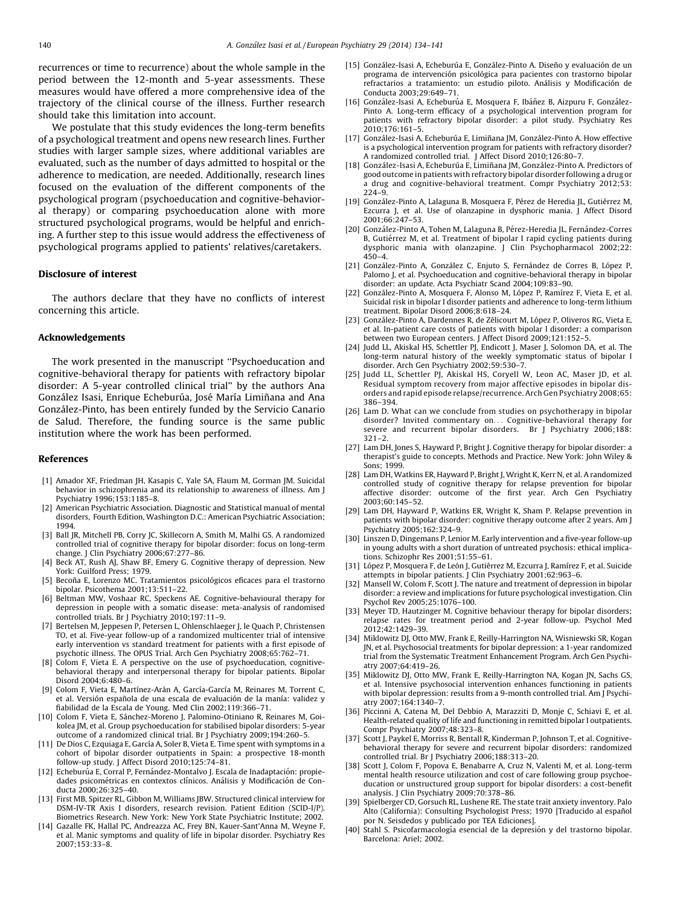<span id="page-6-0"></span>recurrences or time to recurrence) about the whole sample in the period between the 12-month and 5-year assessments. These measures would have offered a more comprehensive idea of the trajectory of the clinical course of the illness. Further research should take this limitation into account.

We postulate that this study evidences the long-term benefits of a psychological treatment and opens new research lines. Further studies with larger sample sizes, where additional variables are evaluated, such as the number of days admitted to hospital or the adherence to medication, are needed. Additionally, research lines focused on the evaluation of the different components of the psychological program (psychoeducation and cognitive-behavioral therapy) or comparing psychoeducation alone with more structured psychological programs, would be helpful and enriching. A further step to this issue would address the effectiveness of psychological programs applied to patients' relatives/caretakers.

# Disclosure of interest

The authors declare that they have no conflicts of interest concerning this article.

#### Acknowledgements

The work presented in the manuscript ''Psychoeducation and cognitive-behavioral therapy for patients with refractory bipolar disorder: A 5-year controlled clinical trial'' by the authors Ana González Isasi, Enrique Echeburúa, José María Limiñana and Ana González-Pinto, has been entirely funded by the Servicio Canario de Salud. Therefore, the funding source is the same public institution where the work has been performed.

#### References

- [1] Amador XF, Friedman JH, Kasapis C, Yale SA, Flaum M, Gorman JM. Suicidal behavior in schizophrenia and its relationship to awareness of illness. Am J Psychiatry 1996;153:1185–8.
- [2] American Psychiatric Association. Diagnostic and Statistical manual of mental disorders, Fourth Edition, Washington D.C.: American Psychiatric Association; 1994.
- [3] Ball JR, Mitchell PB, Corry JC, Skillecorn A, Smith M, Malhi GS. A randomized controlled trial of cognitive therapy for bipolar disorder: focus on long-term change. J Clin Psychiatry 2006;67:277–86.
- [4] Beck AT, Rush AJ, Shaw BF, Emery G. Cognitive therapy of depression. New York: Guilford Press; 1979.
- [5] Becoña E, Lorenzo MC. Tratamientos psicológicos eficaces para el trastorno bipolar. Psicothema 2001;13:511–22.
- [6] Beltman MW, Voshaar RC, Speckens AE. Cognitive-behavioural therapy for depression in people with a somatic disease: meta-analysis of randomised controlled trials. Br J Psychiatry 2010;197:11–9.
- [7] Bertelsen M, Jeppesen P, Petersen L, Ohlenschlaeger J, le Quach P, Christensen TO, et al. Five-year follow-up of a randomized multicenter trial of intensive early intervention vs standard treatment for patients with a first episode of psychotic illness. The OPUS Trial. Arch Gen Psychiatry 2008;65:762–71.
- [8] Colom F, Vieta E. A perspective on the use of psychoeducation, cognitivebehavioral therapy and interpersonal therapy for bipolar patients. Bipolar Disord 2004;6:480–6.
- [9] Colom F, Vieta E, Martínez-Arán A, García-García M, Reinares M, Torrent C, et al. Versión española de una escala de evaluación de la manía: validez y fiabilidad de la Escala de Young. Med Clin 2002;119:366–71.
- [10] Colom F, Vieta E, Sánchez-Moreno J, Palomino-Otiniano R, Reinares M, Goikolea JM, et al. Group psychoeducation for stabilised bipolar disorders: 5-year outcome of a randomized clinical trial. Br J Psychiatry 2009;194:260–5.
- [11] De Dios C, Ezquiaga E, García A, Soler B, Vieta E. Time spent with symptoms in a cohort of bipolar disorder outpatients in Spain: a prospective 18-month follow-up study. J Affect Disord 2010;125:74–81.
- [12] Echeburúa E, Corral P, Fernández-Montalvo J. Escala de Inadaptación: propiedades psicométricas en contextos clínicos. Análisis y Modificación de Conducta 2000;26:325–40.
- [13] First MB, Spitzer RL, Gibbon M, Williams JBW. Structured clinical interview for DSM-IV-TR Axis I disorders, research revision. Patient Edition (SCID-I/P). Biometrics Research. New York: New York State Psychiatric Institute; 2002.
- [14] Gazalle FK, Hallal PC, Andreazza AC, Frey BN, Kauer-Sant'Anna M, Weyne F, et al. Manic symptoms and quality of life in bipolar disorder. Psychiatry Res 2007;153:33–8.
- [15] González-Isasi A, Echeburúa E, González-Pinto A. Diseño y evaluación de un programa de intervención psicológica para pacientes con trastorno bipolar refractarios a tratamiento: un estudio piloto. Análisis y Modificación de Conducta 2003;29:649–71.
- [16] González-Isasi A, Echeburúa E, Mosquera F, Ibáñez B, Aizpuru F, González-Pinto A. Long-term efficacy of a psychological intervention program for patients with refractory bipolar disorder: a pilot study. Psychiatry Res 2010;176:161–5.
- [17] González-Isasi A, Echeburúa E, Limiñana JM, González-Pinto A. How effective is a psychological intervention program for patients with refractory disorder? A randomized controlled trial. J Affect Disord 2010;126:80–7.
- [18] González-Isasi A, Echeburúa E, Limiñana JM, González-Pinto A. Predictors of good outcome in patients with refractory bipolar disorder following a drug or a drug and cognitive-behavioral treatment. Compr Psychiatry 2012;53: 224–9.
- [19] González-Pinto A, Lalaguna B, Mosquera F, Pérez de Heredia JL, Gutiérrez M, Ezcurra J, et al. Use of olanzapine in dysphoric mania. J Affect Disord 2001;66:247–53.
- [20] González-Pinto A, Tohen M, Lalaguna B, Pérez-Heredia JL, Fernández-Corres B, Gutiérrez M, et al. Treatment of bipolar I rapid cycling patients during dysphoric mania with olanzapine. J Clin Psychopharmacol 2002;22: 450–4.
- [21] González-Pinto A, González C, Enjuto S, Fernández de Corres B, López P, Palomo J, et al. Psychoeducation and cognitive-behavioral therapy in bipolar disorder: an update. Acta Psychiatr Scand 2004;109:83–90.
- [22] González-Pinto A, Mosquera F, Alonso M, López P, Ramírez F, Vieta E, et al. Suicidal risk in bipolar I disorder patients and adherence to long-term lithium treatment. Bipolar Disord 2006;8:618–24.
- [23] González-Pinto A, Dardennes R, de Zélicourt M, López P, Oliveros RG, Vieta E, et al. In-patient care costs of patients with bipolar I disorder: a comparison between two European centers. J Affect Disord 2009;121:152–5.
- [24] Judd LL, Akiskal HS, Schettler PJ, Endicott J, Maser J, Solomon DA, et al. The long-term natural history of the weekly symptomatic status of bipolar I disorder. Arch Gen Psychiatry 2002;59:530–7.
- [25] Judd LL, Schettler PJ, Akiskal HS, Coryell W, Leon AC, Maser JD, et al. Residual symptom recovery from major affective episodes in bipolar disorders and rapid episode relapse/recurrence. Arch Gen Psychiatry 2008;65: 386–394.
- [26] Lam D. What can we conclude from studies on psychotherapy in bipolar disorder? Invited commentary on... Cognitive-behavioral therapy for severe and recurrent bipolar disorders. Br J Psychiatry 2006;188: 321–2.
- [27] Lam DH, Jones S, Hayward P, Bright J. Cognitive therapy for bipolar disorder: a therapist's guide to concepts. Methods and Practice. New York: John Wiley & Sons; 1999.
- [28] Lam DH, Watkins ER, Hayward P, Bright J, Wright K, Kerr N, et al. A randomized controlled study of cognitive therapy for relapse prevention for bipolar affective disorder: outcome of the first year. Arch Gen Psychiatry 2003;60:145–52.
- [29] Lam DH, Hayward P, Watkins ER, Wright K, Sham P. Relapse prevention in patients with bipolar disorder: cognitive therapy outcome after 2 years. Am J Psychiatry 2005;162:324–9.
- [30] Linszen D, Dingemans P, Lenior M. Early intervention and a five-year follow-up in young adults with a short duration of untreated psychosis: ethical implications. Schizophr Res 2001;51:55–61.
- [31] López P, Mosquera F, de León J, Gutiérrez M, Ezcurra J, Ramírez F, et al. Suicide attempts in bipolar patients. J Clin Psychiatry 2001;62:963–6.
- [32] Mansell W, Colom F, Scott J. The nature and treatment of depression in bipolar disorder: a review and implications for future psychological investigation. Clin Psychol Rev 2005;25:1076–100.
- [33] Meyer TD, Hautzinger M. Cognitive behaviour therapy for bipolar disorders; relapse rates for treatment period and 2-year follow-up. Psychol Med 2012;42:1429–39.
- [34] Miklowitz DJ, Otto MW, Frank E, Reilly-Harrington NA, Wisniewski SR, Kogan JN, et al. Psychosocial treatments for bipolar depression: a 1-year randomized trial from the Systematic Treatment Enhancement Program. Arch Gen Psychiatry 2007;64:419–26.
- [35] Miklowitz DJ, Otto MW, Frank E, Reilly-Harrington NA, Kogan JN, Sachs GS, et al. Intensive psychosocial intervention enhances functioning in patients with bipolar depression: results from a 9-month controlled trial. Am J Psychiatry 2007;164:1340–7.
- [36] Piccinni A, Catena M, Del Debbio A, Marazziti D, Monje C, Schiavi E, et al. Health-related quality of life and functioning in remitted bipolar I outpatients. Compr Psychiatry 2007;48:323–8.
- [37] Scott J, Paykel E, Morriss R, Bentall R, Kinderman P, Johnson T, et al. Cognitivebehavioral therapy for severe and recurrent bipolar disorders: randomized controlled trial. Br J Psychiatry 2006;188:313–20.
- [38] Scott J, Colom F, Popova E, Benabarre A, Cruz N, Valenti M, et al. Long-term mental health resource utilization and cost of care following group psychoeducation or unstructured group support for bipolar disorders: a cost-benefit analysis. J Clin Psychiatry 2009;70:378–86.
- [39] Spielberger CD, Gorsuch RL, Lushene RE. The state trait anxiety inventory. Palo Alto (California): Consulting Psychologist Press; 1970 [Traducido al español por N. Seisdedos y publicado por TEA Ediciones].
- [40] Stahl S. Psicofarmacología esencial de la depresión y del trastorno bipolar. Barcelona: Ariel; 2002.